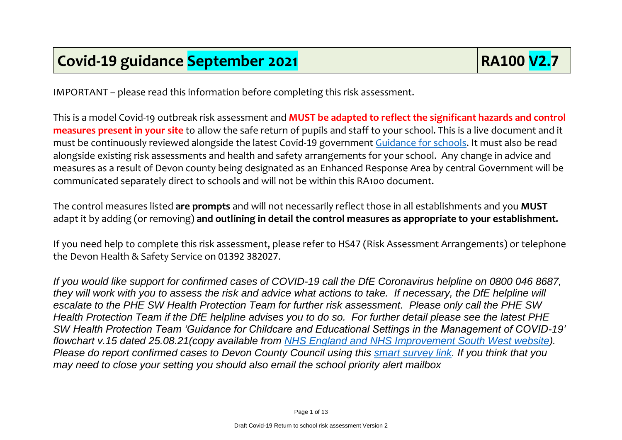IMPORTANT – please read this information before completing this risk assessment.

This is a model Covid-19 outbreak risk assessment and **MUST be adapted to reflect the significant hazards and control measures present in your site** to allow the safe return of pupils and staff to your school. This is a live document and it must be continuously reviewed alongside the latest Covid-19 government [Guidance for schools.](https://eur02.safelinks.protection.outlook.com/?url=https%3A%2F%2Fwww.gov.uk%2Fgovernment%2Fcollections%2Fguidance-for-schools-coronavirus-covid-19%3Futm_source%3D09%2520July%25202021%2520C19%26utm_medium%3DDaily%2520Email%2520C19%26utm_campaign%3DDfE%2520C19&data=04%7C01%7Cmartin.bevan%40devon.gov.uk%7C80359a25dfd64640efcd08d945376a2d%7C8da13783cb68443fbb4b997f77fd5bfb%7C0%7C0%7C637616926572103918%7CUnknown%7CTWFpbGZsb3d8eyJWIjoiMC4wLjAwMDAiLCJQIjoiV2luMzIiLCJBTiI6Ik1haWwiLCJXVCI6Mn0%3D%7C3000&sdata=CFWaT9A5w6TYm2xxUi4fdUP%2BB7AYZHg3nkPHrECEzzI%3D&reserved=0) It must also be read alongside existing risk assessments and health and safety arrangements for your school. Any change in advice and measures as a result of Devon county being designated as an Enhanced Response Area by central Government will be communicated separately direct to schools and will not be within this RA100 document.

The control measures listed **are prompts** and will not necessarily reflect those in all establishments and you **MUST** adapt it by adding (or removing) **and outlining in detail the control measures as appropriate to your establishment.**

If you need help to complete this risk assessment, please refer to HS47 (Risk Assessment Arrangements) or telephone the Devon Health & Safety Service on 01392 382027.

*If you would like support for confirmed cases of COVID-19 call the DfE Coronavirus helpline on 0800 046 8687, they will work with you to assess the risk and advice what actions to take. If necessary, the DfE helpline will escalate to the PHE SW Health Protection Team for further risk assessment. Please only call the PHE SW Health Protection Team if the DfE helpline advises you to do so. For further detail please see the latest PHE SW Health Protection Team 'Guidance for Childcare and Educational Settings in the Management of COVID-19' flowchart v.15 dated 25.08.21(copy available from NHS England and NHS [Improvement South West website\)](https://www.england.nhs.uk/south/info-professional/public-health/infection-winter/schools-and-nurseries-guidance/). Please do report confirmed cases to Devon County Council using this [smart survey link.](https://www.smartsurvey.co.uk/s/Covid19NotificationTestResults/) If you think that you may need to close your setting you should also email the school priority alert mailbox*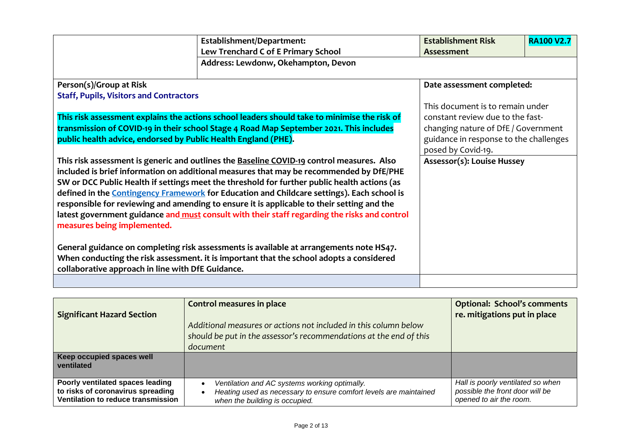|                                                                                                                                                                                                                                                                                                                                                                                                                                                                                                                                                                                                                                                                                                                                                                                                                                                                    | Establishment/Department:<br>Lew Trenchard C of E Primary School | <b>Establishment Risk</b><br><b>Assessment</b>                                                                                                                                                            | <b>RA100 V2.7</b> |
|--------------------------------------------------------------------------------------------------------------------------------------------------------------------------------------------------------------------------------------------------------------------------------------------------------------------------------------------------------------------------------------------------------------------------------------------------------------------------------------------------------------------------------------------------------------------------------------------------------------------------------------------------------------------------------------------------------------------------------------------------------------------------------------------------------------------------------------------------------------------|------------------------------------------------------------------|-----------------------------------------------------------------------------------------------------------------------------------------------------------------------------------------------------------|-------------------|
|                                                                                                                                                                                                                                                                                                                                                                                                                                                                                                                                                                                                                                                                                                                                                                                                                                                                    | Address: Lewdonw, Okehampton, Devon                              |                                                                                                                                                                                                           |                   |
| Person(s)/Group at Risk<br><b>Staff, Pupils, Visitors and Contractors</b><br>This risk assessment explains the actions school leaders should take to minimise the risk of<br>transmission of COVID-19 in their school Stage 4 Road Map September 2021. This includes<br>public health advice, endorsed by Public Health England (PHE).                                                                                                                                                                                                                                                                                                                                                                                                                                                                                                                             |                                                                  | Date assessment completed:<br>This document is to remain under<br>constant review due to the fast-<br>changing nature of DfE / Government<br>guidance in response to the challenges<br>posed by Covid-19. |                   |
| This risk assessment is generic and outlines the Baseline COVID-19 control measures. Also<br>included is brief information on additional measures that may be recommended by DfE/PHE<br>SW or DCC Public Health if settings meet the threshold for further public health actions (as<br>defined in the <b>Contingency Framework</b> for Education and Childcare settings). Each school is<br>responsible for reviewing and amending to ensure it is applicable to their setting and the<br>latest government guidance and must consult with their staff regarding the risks and control<br>measures being implemented.<br>General guidance on completing risk assessments is available at arrangements note HS47.<br>When conducting the risk assessment. it is important that the school adopts a considered<br>collaborative approach in line with DfE Guidance. |                                                                  | <b>Assessor(s): Louise Hussey</b>                                                                                                                                                                         |                   |

| <b>Significant Hazard Section</b>                                                                           | Control measures in place<br>Additional measures or actions not included in this column below<br>should be put in the assessor's recommendations at the end of this<br>document | <b>Optional: School's comments</b><br>re. mitigations put in place                              |
|-------------------------------------------------------------------------------------------------------------|---------------------------------------------------------------------------------------------------------------------------------------------------------------------------------|-------------------------------------------------------------------------------------------------|
| Keep occupied spaces well<br>ventilated                                                                     |                                                                                                                                                                                 |                                                                                                 |
| Poorly ventilated spaces leading<br>to risks of coronavirus spreading<br>Ventilation to reduce transmission | Ventilation and AC systems working optimally.<br>Heating used as necessary to ensure comfort levels are maintained<br>$\bullet$<br>when the building is occupied.               | Hall is poorly ventilated so when<br>possible the front door will be<br>opened to air the room. |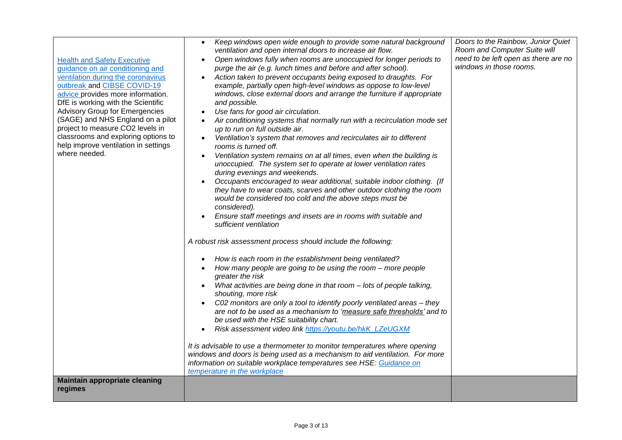| <b>Health and Safety Executive</b><br>guidance on air conditioning and<br>ventilation during the coronavirus<br>outbreak and CIBSE COVID-19<br>advice provides more information.<br>DfE is working with the Scientific<br><b>Advisory Group for Emergencies</b><br>(SAGE) and NHS England on a pilot<br>project to measure CO2 levels in<br>classrooms and exploring options to<br>help improve ventilation in settings<br>where needed.<br><b>Maintain appropriate cleaning</b> | Keep windows open wide enough to provide some natural background<br>$\bullet$<br>ventilation and open internal doors to increase air flow.<br>Open windows fully when rooms are unoccupied for longer periods to<br>purge the air (e.g. lunch times and before and after school).<br>Action taken to prevent occupants being exposed to draughts. For<br>example, partially open high-level windows as oppose to low-level<br>windows, close external doors and arrange the furniture if appropriate<br>and possible.<br>Use fans for good air circulation.<br>Air conditioning systems that normally run with a recirculation mode set<br>$\bullet$<br>up to run on full outside air.<br>Ventilation's system that removes and recirculates air to different<br>rooms is turned off.<br>Ventilation system remains on at all times, even when the building is<br>unoccupied. The system set to operate at lower ventilation rates<br>during evenings and weekends.<br>Occupants encouraged to wear additional, suitable indoor clothing. (If<br>they have to wear coats, scarves and other outdoor clothing the room<br>would be considered too cold and the above steps must be<br>considered).<br>Ensure staff meetings and insets are in rooms with suitable and<br>sufficient ventilation<br>A robust risk assessment process should include the following:<br>How is each room in the establishment being ventilated?<br>$\bullet$<br>How many people are going to be using the room - more people<br>greater the risk<br>What activities are being done in that room - lots of people talking,<br>shouting, more risk<br>C02 monitors are only a tool to identify poorly ventilated areas - they<br>$\bullet$<br>are not to be used as a mechanism to 'measure safe thresholds' and to<br>be used with the HSE suitability chart.<br>Risk assessment video link https://youtu.be/hkK_LZeUGXM<br>It is advisable to use a thermometer to monitor temperatures where opening<br>windows and doors is being used as a mechanism to aid ventilation. For more<br>information on suitable workplace temperatures see HSE: Guidance on<br>temperature in the workplace | Doors to the Rainbow, Junior Quiet<br>Room and Computer Suite will<br>need to be left open as there are no<br>windows in those rooms. |
|----------------------------------------------------------------------------------------------------------------------------------------------------------------------------------------------------------------------------------------------------------------------------------------------------------------------------------------------------------------------------------------------------------------------------------------------------------------------------------|-------------------------------------------------------------------------------------------------------------------------------------------------------------------------------------------------------------------------------------------------------------------------------------------------------------------------------------------------------------------------------------------------------------------------------------------------------------------------------------------------------------------------------------------------------------------------------------------------------------------------------------------------------------------------------------------------------------------------------------------------------------------------------------------------------------------------------------------------------------------------------------------------------------------------------------------------------------------------------------------------------------------------------------------------------------------------------------------------------------------------------------------------------------------------------------------------------------------------------------------------------------------------------------------------------------------------------------------------------------------------------------------------------------------------------------------------------------------------------------------------------------------------------------------------------------------------------------------------------------------------------------------------------------------------------------------------------------------------------------------------------------------------------------------------------------------------------------------------------------------------------------------------------------------------------------------------------------------------------------------------------------------------------------------------------------------------------------------------------------------------------------------------------------------------|---------------------------------------------------------------------------------------------------------------------------------------|
| regimes                                                                                                                                                                                                                                                                                                                                                                                                                                                                          |                                                                                                                                                                                                                                                                                                                                                                                                                                                                                                                                                                                                                                                                                                                                                                                                                                                                                                                                                                                                                                                                                                                                                                                                                                                                                                                                                                                                                                                                                                                                                                                                                                                                                                                                                                                                                                                                                                                                                                                                                                                                                                                                                                         |                                                                                                                                       |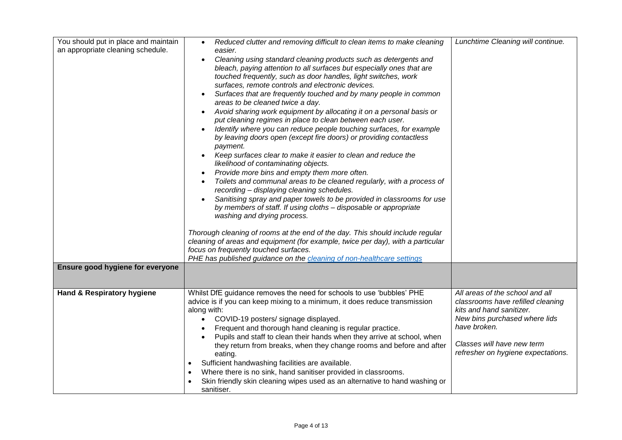| You should put in place and maintain<br>an appropriate cleaning schedule. | Reduced clutter and removing difficult to clean items to make cleaning<br>$\bullet$<br>easier.<br>Cleaning using standard cleaning products such as detergents and<br>bleach, paying attention to all surfaces but especially ones that are<br>touched frequently, such as door handles, light switches, work<br>surfaces, remote controls and electronic devices.<br>Surfaces that are frequently touched and by many people in common<br>$\bullet$<br>areas to be cleaned twice a day.<br>Avoid sharing work equipment by allocating it on a personal basis or<br>put cleaning regimes in place to clean between each user.<br>Identify where you can reduce people touching surfaces, for example<br>by leaving doors open (except fire doors) or providing contactless<br>payment.<br>Keep surfaces clear to make it easier to clean and reduce the<br>likelihood of contaminating objects.<br>Provide more bins and empty them more often.<br>$\bullet$<br>Toilets and communal areas to be cleaned regularly, with a process of<br>recording - displaying cleaning schedules.<br>Sanitising spray and paper towels to be provided in classrooms for use<br>by members of staff. If using cloths - disposable or appropriate<br>washing and drying process.<br>Thorough cleaning of rooms at the end of the day. This should include regular<br>cleaning of areas and equipment (for example, twice per day), with a particular<br>focus on frequently touched surfaces.<br>PHE has published guidance on the cleaning of non-healthcare settings | Lunchtime Cleaning will continue.                                                                                                                                                                                     |
|---------------------------------------------------------------------------|--------------------------------------------------------------------------------------------------------------------------------------------------------------------------------------------------------------------------------------------------------------------------------------------------------------------------------------------------------------------------------------------------------------------------------------------------------------------------------------------------------------------------------------------------------------------------------------------------------------------------------------------------------------------------------------------------------------------------------------------------------------------------------------------------------------------------------------------------------------------------------------------------------------------------------------------------------------------------------------------------------------------------------------------------------------------------------------------------------------------------------------------------------------------------------------------------------------------------------------------------------------------------------------------------------------------------------------------------------------------------------------------------------------------------------------------------------------------------------------------------------------------------------------------------------|-----------------------------------------------------------------------------------------------------------------------------------------------------------------------------------------------------------------------|
| Ensure good hygiene for everyone                                          |                                                                                                                                                                                                                                                                                                                                                                                                                                                                                                                                                                                                                                                                                                                                                                                                                                                                                                                                                                                                                                                                                                                                                                                                                                                                                                                                                                                                                                                                                                                                                        |                                                                                                                                                                                                                       |
| Hand & Respiratory hygiene                                                | Whilst DfE guidance removes the need for schools to use 'bubbles' PHE<br>advice is if you can keep mixing to a minimum, it does reduce transmission<br>along with:<br>COVID-19 posters/ signage displayed.<br>$\bullet$<br>Frequent and thorough hand cleaning is regular practice.<br>Pupils and staff to clean their hands when they arrive at school, when<br>they return from breaks, when they change rooms and before and after<br>eating.<br>Sufficient handwashing facilities are available.<br>$\bullet$<br>Where there is no sink, hand sanitiser provided in classrooms.<br>$\bullet$<br>Skin friendly skin cleaning wipes used as an alternative to hand washing or<br>sanitiser.                                                                                                                                                                                                                                                                                                                                                                                                                                                                                                                                                                                                                                                                                                                                                                                                                                                          | All areas of the school and all<br>classrooms have refilled cleaning<br>kits and hand sanitizer.<br>New bins purchased where lids<br>have broken.<br>Classes will have new term<br>refresher on hygiene expectations. |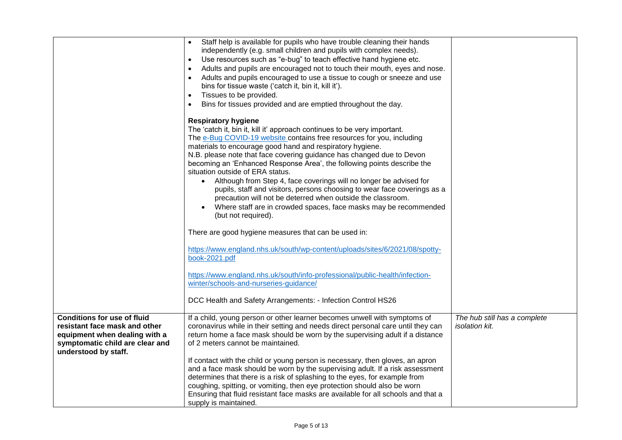|                                                                                                                                                                 | Staff help is available for pupils who have trouble cleaning their hands<br>independently (e.g. small children and pupils with complex needs).<br>Use resources such as "e-bug" to teach effective hand hygiene etc.<br>$\bullet$<br>Adults and pupils are encouraged not to touch their mouth, eyes and nose.<br>$\bullet$<br>Adults and pupils encouraged to use a tissue to cough or sneeze and use<br>$\bullet$<br>bins for tissue waste ('catch it, bin it, kill it').<br>Tissues to be provided.<br>$\bullet$<br>Bins for tissues provided and are emptied throughout the day.<br>$\bullet$                                                                                                                                                               |                                                |
|-----------------------------------------------------------------------------------------------------------------------------------------------------------------|-----------------------------------------------------------------------------------------------------------------------------------------------------------------------------------------------------------------------------------------------------------------------------------------------------------------------------------------------------------------------------------------------------------------------------------------------------------------------------------------------------------------------------------------------------------------------------------------------------------------------------------------------------------------------------------------------------------------------------------------------------------------|------------------------------------------------|
|                                                                                                                                                                 | <b>Respiratory hygiene</b><br>The 'catch it, bin it, kill it' approach continues to be very important.<br>The e-Bug COVID-19 website contains free resources for you, including<br>materials to encourage good hand and respiratory hygiene.<br>N.B. please note that face covering guidance has changed due to Devon<br>becoming an 'Enhanced Response Area', the following points describe the<br>situation outside of ERA status.<br>• Although from Step 4, face coverings will no longer be advised for<br>pupils, staff and visitors, persons choosing to wear face coverings as a<br>precaution will not be deterred when outside the classroom.<br>Where staff are in crowded spaces, face masks may be recommended<br>$\bullet$<br>(but not required). |                                                |
|                                                                                                                                                                 | There are good hygiene measures that can be used in:                                                                                                                                                                                                                                                                                                                                                                                                                                                                                                                                                                                                                                                                                                            |                                                |
|                                                                                                                                                                 | https://www.england.nhs.uk/south/wp-content/uploads/sites/6/2021/08/spotty-<br>book-2021.pdf                                                                                                                                                                                                                                                                                                                                                                                                                                                                                                                                                                                                                                                                    |                                                |
|                                                                                                                                                                 | https://www.england.nhs.uk/south/info-professional/public-health/infection-<br>winter/schools-and-nurseries-guidance/                                                                                                                                                                                                                                                                                                                                                                                                                                                                                                                                                                                                                                           |                                                |
|                                                                                                                                                                 | DCC Health and Safety Arrangements: - Infection Control HS26                                                                                                                                                                                                                                                                                                                                                                                                                                                                                                                                                                                                                                                                                                    |                                                |
| <b>Conditions for use of fluid</b><br>resistant face mask and other<br>equipment when dealing with a<br>symptomatic child are clear and<br>understood by staff. | If a child, young person or other learner becomes unwell with symptoms of<br>coronavirus while in their setting and needs direct personal care until they can<br>return home a face mask should be worn by the supervising adult if a distance<br>of 2 meters cannot be maintained.                                                                                                                                                                                                                                                                                                                                                                                                                                                                             | The hub still has a complete<br>isolation kit. |
|                                                                                                                                                                 | If contact with the child or young person is necessary, then gloves, an apron<br>and a face mask should be worn by the supervising adult. If a risk assessment<br>determines that there is a risk of splashing to the eyes, for example from<br>coughing, spitting, or vomiting, then eye protection should also be worn<br>Ensuring that fluid resistant face masks are available for all schools and that a<br>supply is maintained.                                                                                                                                                                                                                                                                                                                          |                                                |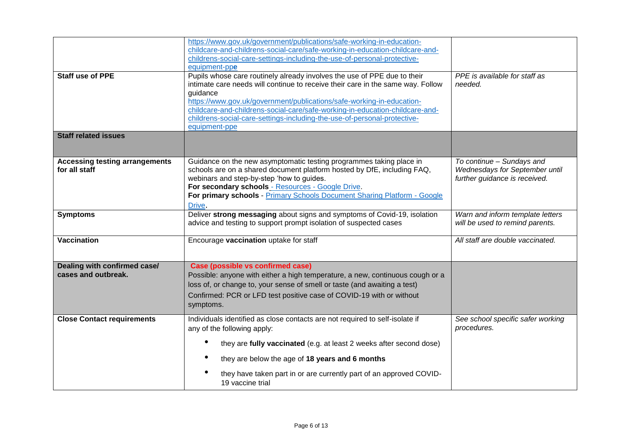| equipment-ppe<br><b>Staff use of PPE</b><br>guidance<br>equipment-ppe<br><b>Staff related issues</b><br><b>Accessing testing arrangements</b><br>for all staff<br>Drive.<br><b>Symptoms</b><br><b>Vaccination</b><br>Dealing with confirmed case/<br>cases and outbreak.                                                                          | childrens-social-care-settings-including-the-use-of-personal-protective-<br>Pupils whose care routinely already involves the use of PPE due to their<br>intimate care needs will continue to receive their care in the same way. Follow<br>https://www.gov.uk/government/publications/safe-working-in-education-<br>childcare-and-childrens-social-care/safe-working-in-education-childcare-and-<br>childrens-social-care-settings-including-the-use-of-personal-protective-<br>Guidance on the new asymptomatic testing programmes taking place in<br>schools are on a shared document platform hosted by DfE, including FAQ, | PPE is available for staff as<br>needed.<br>To continue - Sundays and<br>Wednesdays for September until |
|---------------------------------------------------------------------------------------------------------------------------------------------------------------------------------------------------------------------------------------------------------------------------------------------------------------------------------------------------|--------------------------------------------------------------------------------------------------------------------------------------------------------------------------------------------------------------------------------------------------------------------------------------------------------------------------------------------------------------------------------------------------------------------------------------------------------------------------------------------------------------------------------------------------------------------------------------------------------------------------------|---------------------------------------------------------------------------------------------------------|
|                                                                                                                                                                                                                                                                                                                                                   |                                                                                                                                                                                                                                                                                                                                                                                                                                                                                                                                                                                                                                |                                                                                                         |
|                                                                                                                                                                                                                                                                                                                                                   |                                                                                                                                                                                                                                                                                                                                                                                                                                                                                                                                                                                                                                |                                                                                                         |
|                                                                                                                                                                                                                                                                                                                                                   |                                                                                                                                                                                                                                                                                                                                                                                                                                                                                                                                                                                                                                |                                                                                                         |
|                                                                                                                                                                                                                                                                                                                                                   | webinars and step-by-step 'how to guides.<br>For secondary schools - Resources - Google Drive.<br>For primary schools - Primary Schools Document Sharing Platform - Google                                                                                                                                                                                                                                                                                                                                                                                                                                                     | further guidance is received.                                                                           |
|                                                                                                                                                                                                                                                                                                                                                   | Deliver strong messaging about signs and symptoms of Covid-19, isolation<br>advice and testing to support prompt isolation of suspected cases                                                                                                                                                                                                                                                                                                                                                                                                                                                                                  | Warn and inform template letters<br>will be used to remind parents.                                     |
|                                                                                                                                                                                                                                                                                                                                                   | Encourage vaccination uptake for staff                                                                                                                                                                                                                                                                                                                                                                                                                                                                                                                                                                                         | All staff are double vaccinated.                                                                        |
| symptoms.                                                                                                                                                                                                                                                                                                                                         | Case (possible vs confirmed case)<br>Possible: anyone with either a high temperature, a new, continuous cough or a<br>loss of, or change to, your sense of smell or taste (and awaiting a test)<br>Confirmed: PCR or LFD test positive case of COVID-19 with or without                                                                                                                                                                                                                                                                                                                                                        |                                                                                                         |
| <b>Close Contact requirements</b><br>Individuals identified as close contacts are not required to self-isolate if<br>any of the following apply:<br>they are fully vaccinated (e.g. at least 2 weeks after second dose)<br>they are below the age of 18 years and 6 months<br>they have taken part in or are currently part of an approved COVID- |                                                                                                                                                                                                                                                                                                                                                                                                                                                                                                                                                                                                                                | See school specific safer working<br>procedures.                                                        |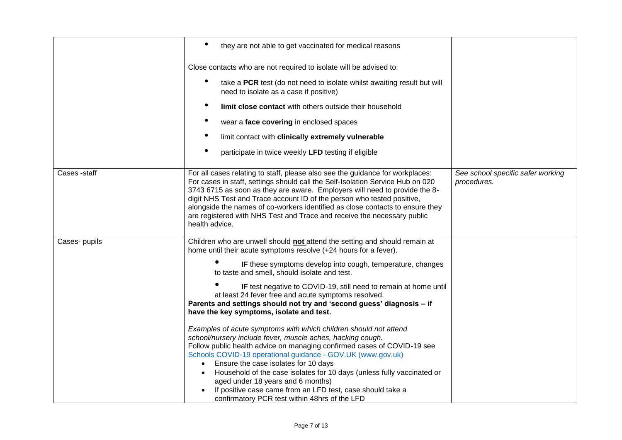|               | they are not able to get vaccinated for medical reasons                                                                                                                                                                                                                                                                                                                                                                                                                                                                                                                                                                                                                                                                                                                                                                                                                                                                                                                                                                                                        |                                                  |
|---------------|----------------------------------------------------------------------------------------------------------------------------------------------------------------------------------------------------------------------------------------------------------------------------------------------------------------------------------------------------------------------------------------------------------------------------------------------------------------------------------------------------------------------------------------------------------------------------------------------------------------------------------------------------------------------------------------------------------------------------------------------------------------------------------------------------------------------------------------------------------------------------------------------------------------------------------------------------------------------------------------------------------------------------------------------------------------|--------------------------------------------------|
|               | Close contacts who are not required to isolate will be advised to:                                                                                                                                                                                                                                                                                                                                                                                                                                                                                                                                                                                                                                                                                                                                                                                                                                                                                                                                                                                             |                                                  |
|               | take a PCR test (do not need to isolate whilst awaiting result but will<br>need to isolate as a case if positive)                                                                                                                                                                                                                                                                                                                                                                                                                                                                                                                                                                                                                                                                                                                                                                                                                                                                                                                                              |                                                  |
|               | limit close contact with others outside their household                                                                                                                                                                                                                                                                                                                                                                                                                                                                                                                                                                                                                                                                                                                                                                                                                                                                                                                                                                                                        |                                                  |
|               | wear a face covering in enclosed spaces                                                                                                                                                                                                                                                                                                                                                                                                                                                                                                                                                                                                                                                                                                                                                                                                                                                                                                                                                                                                                        |                                                  |
|               | limit contact with clinically extremely vulnerable                                                                                                                                                                                                                                                                                                                                                                                                                                                                                                                                                                                                                                                                                                                                                                                                                                                                                                                                                                                                             |                                                  |
|               | participate in twice weekly LFD testing if eligible                                                                                                                                                                                                                                                                                                                                                                                                                                                                                                                                                                                                                                                                                                                                                                                                                                                                                                                                                                                                            |                                                  |
| Cases -staff  | For all cases relating to staff, please also see the guidance for workplaces:<br>For cases in staff, settings should call the Self-Isolation Service Hub on 020<br>3743 6715 as soon as they are aware. Employers will need to provide the 8-<br>digit NHS Test and Trace account ID of the person who tested positive,<br>alongside the names of co-workers identified as close contacts to ensure they<br>are registered with NHS Test and Trace and receive the necessary public<br>health advice.                                                                                                                                                                                                                                                                                                                                                                                                                                                                                                                                                          | See school specific safer working<br>procedures. |
| Cases- pupils | Children who are unwell should not attend the setting and should remain at<br>home until their acute symptoms resolve (+24 hours for a fever).<br>IF these symptoms develop into cough, temperature, changes<br>to taste and smell, should isolate and test.<br>IF test negative to COVID-19, still need to remain at home until<br>at least 24 fever free and acute symptoms resolved.<br>Parents and settings should not try and 'second guess' diagnosis - if<br>have the key symptoms, isolate and test.<br>Examples of acute symptoms with which children should not attend<br>school/nursery include fever, muscle aches, hacking cough.<br>Follow public health advice on managing confirmed cases of COVID-19 see<br>Schools COVID-19 operational guidance - GOV.UK (www.gov.uk)<br>Ensure the case isolates for 10 days<br>Household of the case isolates for 10 days (unless fully vaccinated or<br>aged under 18 years and 6 months)<br>If positive case came from an LFD test, case should take a<br>confirmatory PCR test within 48hrs of the LFD |                                                  |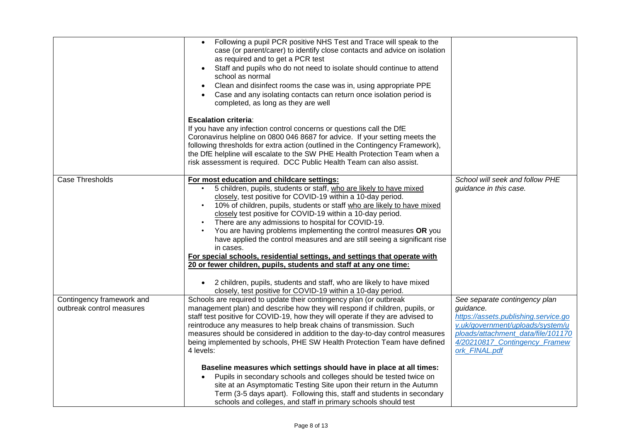|                                                        | Following a pupil PCR positive NHS Test and Trace will speak to the<br>case (or parent/carer) to identify close contacts and advice on isolation<br>as required and to get a PCR test<br>Staff and pupils who do not need to isolate should continue to attend<br>school as normal<br>Clean and disinfect rooms the case was in, using appropriate PPE<br>$\bullet$<br>Case and any isolating contacts can return once isolation period is<br>completed, as long as they are well<br><b>Escalation criteria:</b><br>If you have any infection control concerns or questions call the DfE<br>Coronavirus helpline on 0800 046 8687 for advice. If your setting meets the<br>following thresholds for extra action (outlined in the Contingency Framework),<br>the DfE helpline will escalate to the SW PHE Health Protection Team when a<br>risk assessment is required. DCC Public Health Team can also assist. |                                                                                                                                                                                                                |
|--------------------------------------------------------|-----------------------------------------------------------------------------------------------------------------------------------------------------------------------------------------------------------------------------------------------------------------------------------------------------------------------------------------------------------------------------------------------------------------------------------------------------------------------------------------------------------------------------------------------------------------------------------------------------------------------------------------------------------------------------------------------------------------------------------------------------------------------------------------------------------------------------------------------------------------------------------------------------------------|----------------------------------------------------------------------------------------------------------------------------------------------------------------------------------------------------------------|
| Case Thresholds                                        | For most education and childcare settings:<br>5 children, pupils, students or staff, who are likely to have mixed<br>closely, test positive for COVID-19 within a 10-day period.<br>10% of children, pupils, students or staff who are likely to have mixed<br>$\bullet$<br>closely test positive for COVID-19 within a 10-day period.<br>There are any admissions to hospital for COVID-19.<br>You are having problems implementing the control measures OR you<br>have applied the control measures and are still seeing a significant rise<br>in cases.<br>For special schools, residential settings, and settings that operate with<br>20 or fewer children, pupils, students and staff at any one time:<br>2 children, pupils, students and staff, who are likely to have mixed<br>closely, test positive for COVID-19 within a 10-day period.                                                             | School will seek and follow PHE<br>guidance in this case.                                                                                                                                                      |
| Contingency framework and<br>outbreak control measures | Schools are required to update their contingency plan (or outbreak<br>management plan) and describe how they will respond if children, pupils, or<br>staff test positive for COVID-19, how they will operate if they are advised to<br>reintroduce any measures to help break chains of transmission. Such<br>measures should be considered in addition to the day-to-day control measures<br>being implemented by schools, PHE SW Health Protection Team have defined<br>4 levels:<br>Baseline measures which settings should have in place at all times:<br>Pupils in secondary schools and colleges should be tested twice on<br>site at an Asymptomatic Testing Site upon their return in the Autumn<br>Term (3-5 days apart). Following this, staff and students in secondary<br>schools and colleges, and staff in primary schools should test                                                            | See separate contingency plan<br>quidance.<br>https://assets.publishing.service.go<br>v.uk/government/uploads/system/u<br>ploads/attachment data/file/101170<br>4/20210817_Contingency_Framew<br>ork_FINAL.pdf |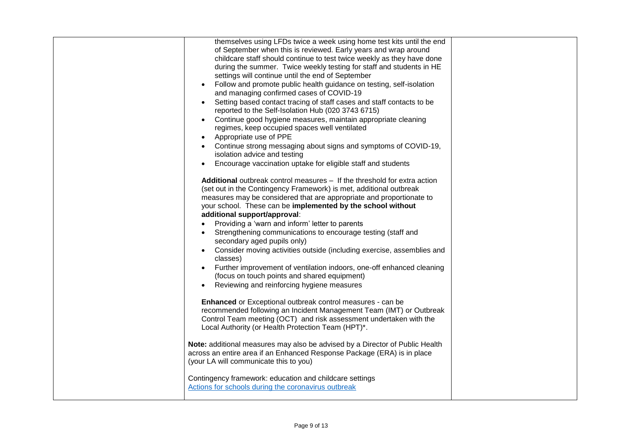| themselves using LFDs twice a week using home test kits until the end<br>of September when this is reviewed. Early years and wrap around<br>childcare staff should continue to test twice weekly as they have done<br>during the summer. Twice weekly testing for staff and students in HE<br>settings will continue until the end of September<br>Follow and promote public health guidance on testing, self-isolation<br>and managing confirmed cases of COVID-19<br>Setting based contact tracing of staff cases and staff contacts to be<br>$\bullet$<br>reported to the Self-Isolation Hub (020 3743 6715)<br>Continue good hygiene measures, maintain appropriate cleaning<br>$\bullet$<br>regimes, keep occupied spaces well ventilated<br>Appropriate use of PPE<br>Continue strong messaging about signs and symptoms of COVID-19,<br>isolation advice and testing |  |
|-----------------------------------------------------------------------------------------------------------------------------------------------------------------------------------------------------------------------------------------------------------------------------------------------------------------------------------------------------------------------------------------------------------------------------------------------------------------------------------------------------------------------------------------------------------------------------------------------------------------------------------------------------------------------------------------------------------------------------------------------------------------------------------------------------------------------------------------------------------------------------|--|
| Encourage vaccination uptake for eligible staff and students<br>Additional outbreak control measures - If the threshold for extra action<br>(set out in the Contingency Framework) is met, additional outbreak<br>measures may be considered that are appropriate and proportionate to<br>your school. These can be implemented by the school without<br>additional support/approval:<br>Providing a 'warn and inform' letter to parents<br>$\bullet$<br>Strengthening communications to encourage testing (staff and<br>$\bullet$<br>secondary aged pupils only)<br>Consider moving activities outside (including exercise, assemblies and<br>$\bullet$<br>classes)<br>Further improvement of ventilation indoors, one-off enhanced cleaning<br>(focus on touch points and shared equipment)<br>Reviewing and reinforcing hygiene measures<br>$\bullet$                    |  |
| <b>Enhanced</b> or Exceptional outbreak control measures - can be<br>recommended following an Incident Management Team (IMT) or Outbreak<br>Control Team meeting (OCT) and risk assessment undertaken with the<br>Local Authority (or Health Protection Team (HPT)*.<br>Note: additional measures may also be advised by a Director of Public Health<br>across an entire area if an Enhanced Response Package (ERA) is in place<br>(your LA will communicate this to you)<br>Contingency framework: education and childcare settings<br>Actions for schools during the coronavirus outbreak                                                                                                                                                                                                                                                                                 |  |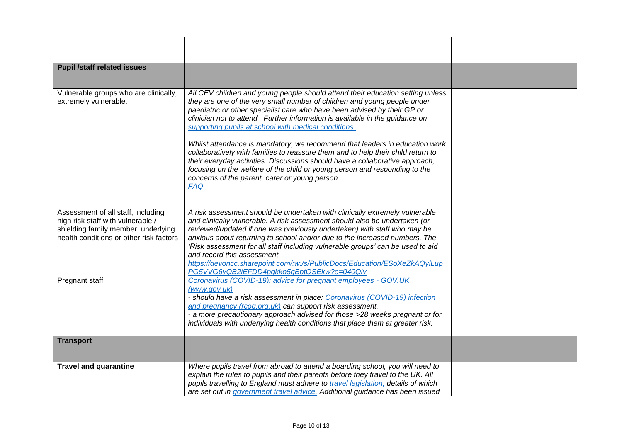| <b>Pupil /staff related issues</b>                                                                                                                        |                                                                                                                                                                                                                                                                                                                                                                                                                                                                                                                                                                                                                                                                                                                                                                                |  |
|-----------------------------------------------------------------------------------------------------------------------------------------------------------|--------------------------------------------------------------------------------------------------------------------------------------------------------------------------------------------------------------------------------------------------------------------------------------------------------------------------------------------------------------------------------------------------------------------------------------------------------------------------------------------------------------------------------------------------------------------------------------------------------------------------------------------------------------------------------------------------------------------------------------------------------------------------------|--|
| Vulnerable groups who are clinically,<br>extremely vulnerable.                                                                                            | All CEV children and young people should attend their education setting unless<br>they are one of the very small number of children and young people under<br>paediatric or other specialist care who have been advised by their GP or<br>clinician not to attend. Further information is available in the guidance on<br>supporting pupils at school with medical conditions.<br>Whilst attendance is mandatory, we recommend that leaders in education work<br>collaboratively with families to reassure them and to help their child return to<br>their everyday activities. Discussions should have a collaborative approach,<br>focusing on the welfare of the child or young person and responding to the<br>concerns of the parent, carer or young person<br><b>FAQ</b> |  |
| Assessment of all staff, including<br>high risk staff with vulnerable /<br>shielding family member, underlying<br>health conditions or other risk factors | A risk assessment should be undertaken with clinically extremely vulnerable<br>and clinically vulnerable. A risk assessment should also be undertaken (or<br>reviewed/updated if one was previously undertaken) with staff who may be<br>anxious about returning to school and/or due to the increased numbers. The<br>'Risk assessment for all staff including vulnerable groups' can be used to aid<br>and record this assessment -<br>https://devoncc.sharepoint.com/:w:/s/PublicDocs/Education/ESoXeZkAQyILup<br>PG5VVG6yQB2iEFDD4pgkko5gBbtOSEkw?e=040Qiy                                                                                                                                                                                                                 |  |
| Pregnant staff                                                                                                                                            | Coronavirus (COVID-19): advice for pregnant employees - GOV.UK<br>(www.gov.uk)<br>- should have a risk assessment in place: Coronavirus (COVID-19) infection<br>and pregnancy (rcog.org.uk) can support risk assessment.<br>- a more precautionary approach advised for those >28 weeks pregnant or for<br>individuals with underlying health conditions that place them at greater risk.                                                                                                                                                                                                                                                                                                                                                                                      |  |
| <b>Transport</b>                                                                                                                                          |                                                                                                                                                                                                                                                                                                                                                                                                                                                                                                                                                                                                                                                                                                                                                                                |  |
| <b>Travel and quarantine</b>                                                                                                                              | Where pupils travel from abroad to attend a boarding school, you will need to<br>explain the rules to pupils and their parents before they travel to the UK. All<br>pupils travelling to England must adhere to travel legislation, details of which<br>are set out in government travel advice. Additional guidance has been issued                                                                                                                                                                                                                                                                                                                                                                                                                                           |  |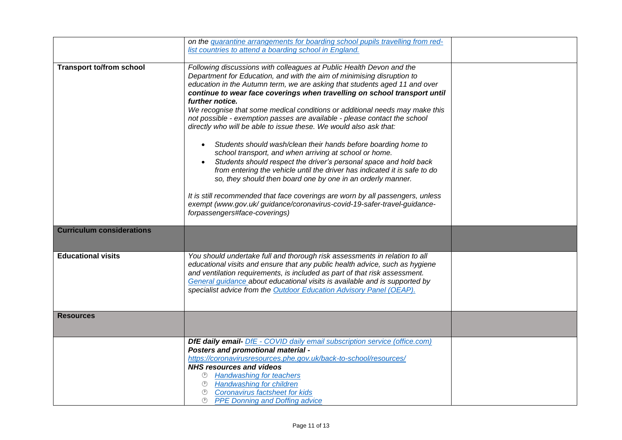|                                  | on the quarantine arrangements for boarding school pupils travelling from red-                                                                                                                                                                                                                                                                                                                                                                                                                                                                                                                                                                                                                                                                                                                                                                                                                                                                                                                                                                                                                                         |  |
|----------------------------------|------------------------------------------------------------------------------------------------------------------------------------------------------------------------------------------------------------------------------------------------------------------------------------------------------------------------------------------------------------------------------------------------------------------------------------------------------------------------------------------------------------------------------------------------------------------------------------------------------------------------------------------------------------------------------------------------------------------------------------------------------------------------------------------------------------------------------------------------------------------------------------------------------------------------------------------------------------------------------------------------------------------------------------------------------------------------------------------------------------------------|--|
|                                  | list countries to attend a boarding school in England.                                                                                                                                                                                                                                                                                                                                                                                                                                                                                                                                                                                                                                                                                                                                                                                                                                                                                                                                                                                                                                                                 |  |
|                                  |                                                                                                                                                                                                                                                                                                                                                                                                                                                                                                                                                                                                                                                                                                                                                                                                                                                                                                                                                                                                                                                                                                                        |  |
| <b>Transport to/from school</b>  | Following discussions with colleagues at Public Health Devon and the<br>Department for Education, and with the aim of minimising disruption to<br>education in the Autumn term, we are asking that students aged 11 and over<br>continue to wear face coverings when travelling on school transport until<br>further notice.<br>We recognise that some medical conditions or additional needs may make this<br>not possible - exemption passes are available - please contact the school<br>directly who will be able to issue these. We would also ask that:<br>Students should wash/clean their hands before boarding home to<br>$\bullet$<br>school transport, and when arriving at school or home.<br>Students should respect the driver's personal space and hold back<br>from entering the vehicle until the driver has indicated it is safe to do<br>so, they should then board one by one in an orderly manner.<br>It is still recommended that face coverings are worn by all passengers, unless<br>exempt (www.gov.uk/ guidance/coronavirus-covid-19-safer-travel-guidance-<br>forpassengers#face-coverings) |  |
|                                  |                                                                                                                                                                                                                                                                                                                                                                                                                                                                                                                                                                                                                                                                                                                                                                                                                                                                                                                                                                                                                                                                                                                        |  |
| <b>Curriculum considerations</b> |                                                                                                                                                                                                                                                                                                                                                                                                                                                                                                                                                                                                                                                                                                                                                                                                                                                                                                                                                                                                                                                                                                                        |  |
| <b>Educational visits</b>        | You should undertake full and thorough risk assessments in relation to all<br>educational visits and ensure that any public health advice, such as hygiene<br>and ventilation requirements, is included as part of that risk assessment.<br>General guidance about educational visits is available and is supported by<br>specialist advice from the Outdoor Education Advisory Panel (OEAP).                                                                                                                                                                                                                                                                                                                                                                                                                                                                                                                                                                                                                                                                                                                          |  |
| <b>Resources</b>                 |                                                                                                                                                                                                                                                                                                                                                                                                                                                                                                                                                                                                                                                                                                                                                                                                                                                                                                                                                                                                                                                                                                                        |  |
|                                  | <b>DfE daily email-</b> DfE - COVID daily email subscription service (office.com)<br>Posters and promotional material -<br>https://coronavirusresources.phe.gov.uk/back-to-school/resources/<br><b>NHS resources and videos</b><br><sup>①</sup> Handwashing for teachers<br><sup>①</sup> Handwashing for children<br><sup>®</sup> Coronavirus factsheet for kids<br><b><sup>1</sup></b> PPE Donning and Doffing advice                                                                                                                                                                                                                                                                                                                                                                                                                                                                                                                                                                                                                                                                                                 |  |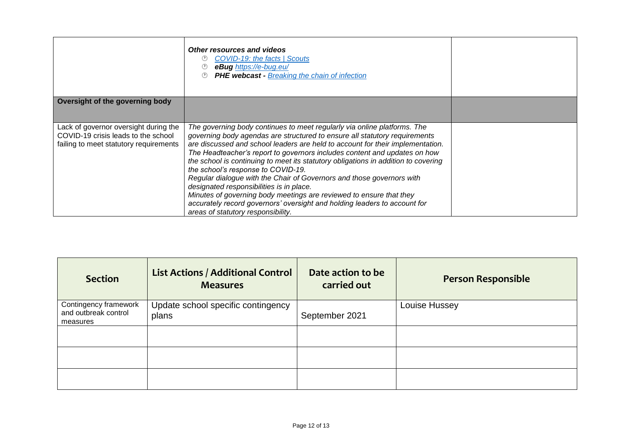|                                                                                                                        | Other resources and videos<br><b>COVID-19: the facts   Scouts</b><br>eBug https://e-bug.eu/<br>PHE webcast - Breaking the chain of infection                                                                                                                                                                                                                                                                                                                                                                                                                                                                                                                                                                                                                     |  |
|------------------------------------------------------------------------------------------------------------------------|------------------------------------------------------------------------------------------------------------------------------------------------------------------------------------------------------------------------------------------------------------------------------------------------------------------------------------------------------------------------------------------------------------------------------------------------------------------------------------------------------------------------------------------------------------------------------------------------------------------------------------------------------------------------------------------------------------------------------------------------------------------|--|
| Oversight of the governing body                                                                                        |                                                                                                                                                                                                                                                                                                                                                                                                                                                                                                                                                                                                                                                                                                                                                                  |  |
|                                                                                                                        |                                                                                                                                                                                                                                                                                                                                                                                                                                                                                                                                                                                                                                                                                                                                                                  |  |
| Lack of governor oversight during the<br>COVID-19 crisis leads to the school<br>failing to meet statutory requirements | The governing body continues to meet regularly via online platforms. The<br>governing body agendas are structured to ensure all statutory requirements<br>are discussed and school leaders are held to account for their implementation.<br>The Headteacher's report to governors includes content and updates on how<br>the school is continuing to meet its statutory obligations in addition to covering<br>the school's response to COVID-19.<br>Regular dialogue with the Chair of Governors and those governors with<br>designated responsibilities is in place.<br>Minutes of governing body meetings are reviewed to ensure that they<br>accurately record governors' oversight and holding leaders to account for<br>areas of statutory responsibility. |  |

| <b>Section</b>                                            | <b>List Actions / Additional Control</b><br><b>Measures</b> | Date action to be<br>carried out | <b>Person Responsible</b> |
|-----------------------------------------------------------|-------------------------------------------------------------|----------------------------------|---------------------------|
| Contingency framework<br>and outbreak control<br>measures | Update school specific contingency<br>plans                 | September 2021                   | Louise Hussey             |
|                                                           |                                                             |                                  |                           |
|                                                           |                                                             |                                  |                           |
|                                                           |                                                             |                                  |                           |